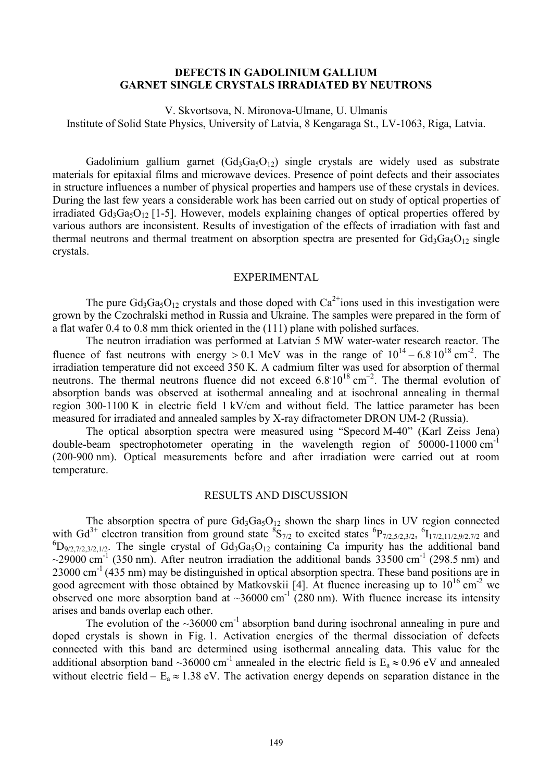## **DEFECTS IN GADOLINIUM GALLIUM GARNET SINGLE CRYSTALS IRRADIATED BY NEUTRONS**

V. Skvortsova, N. Mironova-Ulmane, U. Ulmanis Institute of Solid State Physics, University of Latvia, 8 Kengaraga St., LV-1063, Riga, Latvia.

Gadolinium gallium garnet  $(Gd_3Ga_5O_{12})$  single crystals are widely used as substrate materials for epitaxial films and microwave devices. Presence of point defects and their associates in structure influences a number of physical properties and hampers use of these crystals in devices. During the last few years a considerable work has been carried out on study of optical properties of irradiated  $Gd_3Ga_5O_{12}$  [1-5]. However, models explaining changes of optical properties offered by various authors are inconsistent. Results of investigation of the effects of irradiation with fast and thermal neutrons and thermal treatment on absorption spectra are presented for  $Gd_3Ga_5O_{12}$  single crystals.

## EXPERIMENTAL

The pure  $Gd_3Ga_5O_{12}$  crystals and those doped with  $Ca^{2+}$ ions used in this investigation were grown by the Czochralski method in Russia and Ukraine. The samples were prepared in the form of a flat wafer 0.4 to 0.8 mm thick oriented in the (111) plane with polished surfaces.

The neutron irradiation was performed at Latvian 5 MW water-water research reactor. The fluence of fast neutrons with energy  $> 0.1$  MeV was in the range of  $10^{14} - 6.8 \cdot 10^{18}$  cm<sup>-2</sup>. The irradiation temperature did not exceed 350 K. A cadmium filter was used for absorption of thermal neutrons. The thermal neutrons fluence did not exceed  $6.8 \times 10^{18} \text{ cm}^{-2}$ . The thermal evolution of absorption bands was observed at isothermal annealing and at isochronal annealing in thermal region 300-1100 K in electric field 1 kV/cm and without field. The lattice parameter has been measured for irradiated and annealed samples by X-ray difractometer DRON UM-2 (Russia).

The optical absorption spectra were measured using "Specord M-40" (Karl Zeiss Jena) double-beam spectrophotometer operating in the wavelength region of 50000-11000 cm<sup>-1</sup> (200-900 nm). Optical measurements before and after irradiation were carried out at room temperature.

## RESULTS AND DISCUSSION

The absorption spectra of pure  $Gd_3Ga_5O_{12}$  shown the sharp lines in UV region connected with Gd<sup>3+</sup> electron transition from ground state  ${}^{8}S_{7/2}$  to excited states  ${}^{6}P_{7/2,5/2,3/2}$ ,  ${}^{6}I_{17/2,11/2,9/2,7/2}$  and  ${}^{6}D_{9/2,7/2,3/2,1/2}$ . The single crystal of Gd<sub>3</sub>Ga<sub>5</sub>O<sub>12</sub> containing Ca impurity has the additional band  $\sim$ 29000 cm<sup>-1</sup> (350 nm). After neutron irradiation the additional bands 33500 cm<sup>-1</sup> (298.5 nm) and  $23000 \text{ cm}^{-1}$  (435 nm) may be distinguished in optical absorption spectra. These band positions are in good agreement with those obtained by Matkovskii [4]. At fluence increasing up to  $10^{16}$  cm<sup>-2</sup> we observed one more absorption band at  $\sim$ 36000 cm<sup>-1</sup> (280 nm). With fluence increase its intensity arises and bands overlap each other.

The evolution of the  $\sim$ 36000 cm<sup>-1</sup> absorption band during isochronal annealing in pure and doped crystals is shown in Fig. 1. Activation energies of the thermal dissociation of defects connected with this band are determined using isothermal annealing data. This value for the additional absorption band ~36000 cm<sup>-1</sup> annealed in the electric field is  $E_a \approx 0.96$  eV and annealed without electric field –  $E_a \approx 1.38$  eV. The activation energy depends on separation distance in the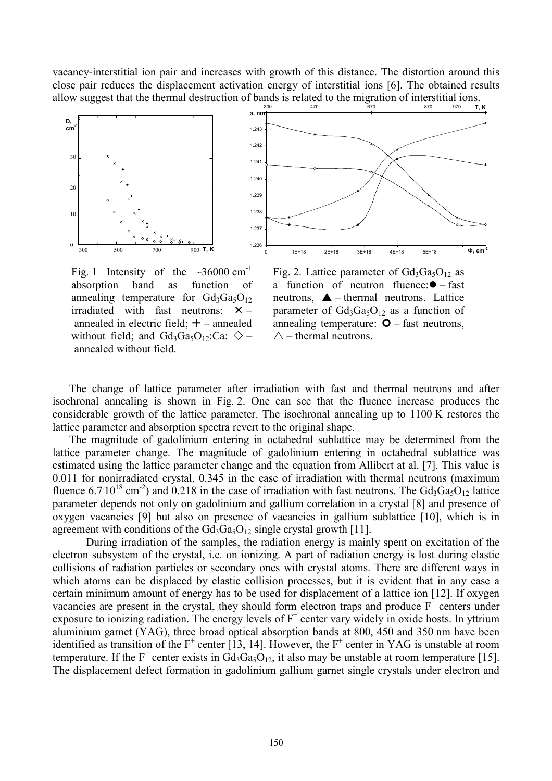vacancy-interstitial ion pair and increases with growth of this distance. The distortion around this close pair reduces the displacement activation energy of interstitial ions [6]. The obtained results allow suggest that the thermal destruction of bands is related to the migration of interstitial ions.<br> $\frac{1}{670}$   $\frac{1}{10}$ ,  $\frac{1}{10}$ 



Fig. 1 Intensity of the  $\sim$ 36000 cm<sup>-1</sup> absorption band as function of annealing temperature for  $Gd_3Ga_5O_{12}$ irradiated with fast neutrons:  $\times$  – annealed in electric field;  $+$  – annealed without field; and  $Gd_3Ga_5O_{12}$ :Ca:  $\diamondsuit$  – annealed without field.

Fig. 2. Lattice parameter of  $Gd_3Ga_5O_{12}$  as a function of neutron fluence: $\bullet$  – fast neutrons,  $\triangle$  – thermal neutrons. Lattice parameter of  $Gd_3Ga_5O_{12}$  as a function of annealing temperature:  $\bullet$  – fast neutrons,  $\triangle$  – thermal neutrons.

The change of lattice parameter after irradiation with fast and thermal neutrons and after isochronal annealing is shown in Fig. 2. One can see that the fluence increase produces the considerable growth of the lattice parameter. The isochronal annealing up to 1100 K restores the lattice parameter and absorption spectra revert to the original shape.

The magnitude of gadolinium entering in octahedral sublattice may be determined from the lattice parameter change. The magnitude of gadolinium entering in octahedral sublattice was estimated using the lattice parameter change and the equation from Allibert at al. [7]. This value is 0.011 for nonirradiated crystal, 0.345 in the case of irradiation with thermal neutrons (maximum fluence 6.7 10<sup>18</sup> cm<sup>-2</sup>) and 0.218 in the case of irradiation with fast neutrons. The Gd<sub>3</sub>Ga<sub>5</sub>O<sub>12</sub> lattice parameter depends not only on gadolinium and gallium correlation in a crystal [8] and presence of oxygen vacancies [9] but also on presence of vacancies in gallium sublattice [10], which is in agreement with conditions of the  $Gd_3Ga_5O_{12}$  single crystal growth [11].

During irradiation of the samples, the radiation energy is mainly spent on excitation of the electron subsystem of the crystal, i.e. on ionizing. A part of radiation energy is lost during elastic collisions of radiation particles or secondary ones with crystal atoms. There are different ways in which atoms can be displaced by elastic collision processes, but it is evident that in any case a certain minimum amount of energy has to be used for displacement of a lattice ion [12]. If oxygen vacancies are present in the crystal, they should form electron traps and produce  $F^+$  centers under exposure to ionizing radiation. The energy levels of  $F^+$  center vary widely in oxide hosts. In yttrium aluminium garnet (YAG), three broad optical absorption bands at 800, 450 and 350 nm have been identified as transition of the  $F^+$  center [13, 14]. However, the  $F^+$  center in YAG is unstable at room temperature. If the F<sup>+</sup> center exists in  $Gd_3Ga_5O_{12}$ , it also may be unstable at room temperature [15]. The displacement defect formation in gadolinium gallium garnet single crystals under electron and